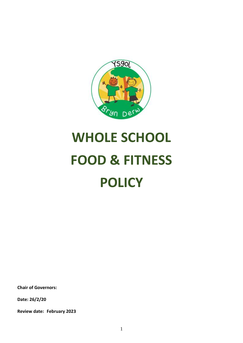

# **WHOLE SCHOOL FOOD & FITNESS POLICY**

**Chair of Governors:**

**Date: 26/2/20**

**Review date: February 2023**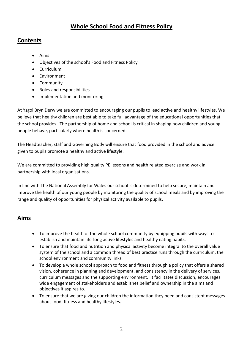# **Whole School Food and Fitness Policy**

#### **Contents**

- Aims
- Objectives of the school's Food and Fitness Policy
- **•** Curriculum
- **•** Environment
- Community
- Roles and responsibilities
- Implementation and monitoring

At Ysgol Bryn Derw we are committed to encouraging our pupils to lead active and healthy lifestyles. We believe that healthy children are best able to take full advantage of the educational opportunities that the school provides. The partnership of home and school is critical in shaping how children and young people behave, particularly where health is concerned.

The Headteacher, staff and Governing Body will ensure that food provided in the school and advice given to pupils promote a healthy and active lifestyle.

We are committed to providing high quality PE lessons and health related exercise and work in partnership with local organisations.

In line with The National Assembly for Wales our school is determined to help secure, maintain and improve the health of our young people by monitoring the quality of school meals and by improving the range and quality of opportunities for physical activity available to pupils.

# **Aims**

- To improve the health of the whole school community by equipping pupils with ways to establish and maintain life-long active lifestyles and healthy eating habits.
- To ensure that food and nutrition and physical activity become integral to the overall value system of the school and a common thread of best practice runs through the curriculum, the school environment and community links.
- To develop a whole school approach to food and fitness through a policy that offers a shared vision, coherence in planning and development, and consistency in the delivery of services, curriculum messages and the supporting environment. It facilitates discussion, encourages wide engagement of stakeholders and establishes belief and ownership in the aims and objectives it aspires to.
- To ensure that we are giving our children the information they need and consistent messages about food, fitness and healthy lifestyles.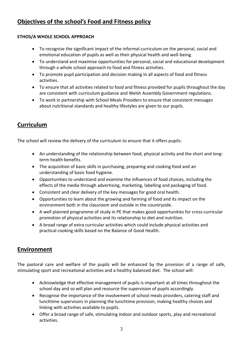# **Objectives of the school's Food and Fitness policy**

#### **ETHOS/A WHOLE SCHOOL APPROACH**

- To recognise the significant impact of the informal curriculum on the personal, social and emotional education of pupils as well as their physical health and well-being.
- To understand and maximise opportunities for personal, social and educational development through a whole school approach to food and fitness activities.
- To promote pupil participation and decision making in all aspects of food and fitness activities.
- To ensure that all activities related to food and fitness provided for pupils throughout the day are consistent with curriculum guidance and Welsh Assembly Government regulations.
- To work in partnership with School Meals Providers to ensure that consistent messages about nutritional standards and healthy lifestyles are given to our pupils.

## **Curriculum**

The school will review the delivery of the curriculum to ensure that it offers pupils:

- An understanding of the relationship between food, physical activity and the short and longterm health benefits.
- The acquisition of basic skills in purchasing, preparing and cooking food and an understanding of basic food hygiene.
- Opportunities to understand and examine the influences of food choices, including the effects of the media through advertising, marketing, labelling and packaging of food.
- Consistent and clear delivery of the key messages for good oral health.
- Opportunities to learn about the growing and farming of food and its impact on the environment both in the classroom and outside in the countryside.
- A well planned programme of study in PE that makes good opportunities for cross-curricular promotion of physical activities and its relationship to diet and nutrition.
- A broad range of extra curricular activities which could include physical activities and practical cooking skills based on the Balance of Good Health.

## **Environment**

The pastoral care and welfare of the pupils will be enhanced by the provision of a range of safe, stimulating sport and recreational activities and a healthy balanced diet. The school will:

- Acknowledge that effective management of pupils is important at all times throughout the school day and so will plan and resource the supervision of pupils accordingly.
- Recognise the importance of the involvement of school meals providers, catering staff and lunchtime supervisors in planning the lunchtime provision, making healthy choices and linking with activities available to pupils.
- Offer a broad range of safe, stimulating indoor and outdoor sports, play and recreational activities.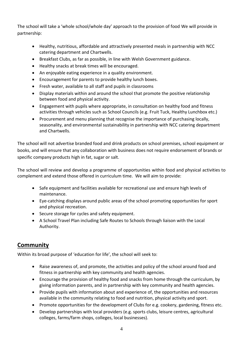The school will take a 'whole school/whole day' approach to the provision of food We will provide in partnership:

- Healthy, nutritious, affordable and attractively presented meals in partnership with NCC catering department and Chartwells.
- Breakfast Clubs, as far as possible, in line with Welsh Government guidance.
- Healthy snacks at break times will be encouraged.
- An enjoyable eating experience in a quality environment.
- Encouragement for parents to provide healthy lunch boxes.
- Fresh water, available to all staff and pupils in classrooms
- Display materials within and around the school that promote the positive relationship between food and physical activity.
- Engagement with pupils where appropriate, in consultation on healthy food and fitness activities through vehicles such as School Councils (e.g. Fruit Tuck, Healthy Lunchbox etc.)
- Procurement and menu planning that recognise the importance of purchasing locally, seasonality, and environmental sustainability in partnership with NCC catering department and Chartwells.

The school will not advertise branded food and drink products on school premises, school equipment or books, and will ensure that any collaboration with business does not require endorsement of brands or specific company products high in fat, sugar or salt.

The school will review and develop a programme of opportunities within food and physical activities to complement and extend those offered in curriculum time. We will aim to provide:

- Safe equipment and facilities available for recreational use and ensure high levels of maintenance.
- Eye-catching displays around public areas of the school promoting opportunities for sport and physical recreation.
- Secure storage for cycles and safety equipment.
- A School Travel Plan including Safe Routes to Schools through liaison with the Local Authority.

#### **Community**

Within its broad purpose of 'education for life', the school will seek to:

- Raise awareness of, and promote, the activities and policy of the school around food and fitness in partnership with key community and health agencies.
- Encourage the provision of healthy food and snacks from home through the curriculum, by giving information parents, and in partnership with key community and health agencies.
- Provide pupils with information about and experience of, the opportunities and resources available in the community relating to food and nutrition, physical activity and sport.
- Promote opportunities for the development of Clubs for e.g. cookery, gardening, fitness etc.
- Develop partnerships with local providers (e.g. sports clubs, leisure centres, agricultural colleges, farms/farm shops, colleges, local businesses).